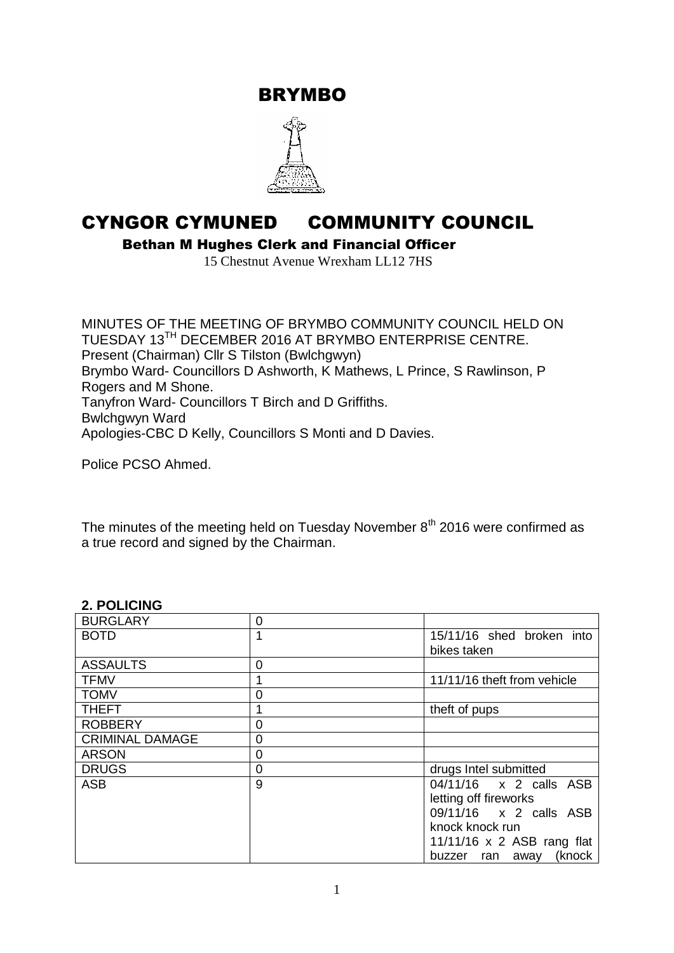BRYMBO



# CYNGOR CYMUNED COMMUNITY COUNCIL

Bethan M Hughes Clerk and Financial Officer

15 Chestnut Avenue Wrexham LL12 7HS

MINUTES OF THE MEETING OF BRYMBO COMMUNITY COUNCIL HELD ON TUESDAY 13TH DECEMBER 2016 AT BRYMBO ENTERPRISE CENTRE. Present (Chairman) Cllr S Tilston (Bwlchgwyn) Brymbo Ward- Councillors D Ashworth, K Mathews, L Prince, S Rawlinson, P Rogers and M Shone. Tanyfron Ward- Councillors T Birch and D Griffiths. Bwlchgwyn Ward Apologies-CBC D Kelly, Councillors S Monti and D Davies.

Police PCSO Ahmed.

The minutes of the meeting held on Tuesday November  $8<sup>th</sup>$  2016 were confirmed as a true record and signed by the Chairman.

## **2. POLICING**

| <b>BURGLARY</b>        | 0 |                                                                                                                                                           |  |  |
|------------------------|---|-----------------------------------------------------------------------------------------------------------------------------------------------------------|--|--|
| <b>BOTD</b>            |   | 15/11/16 shed broken into<br>bikes taken                                                                                                                  |  |  |
| <b>ASSAULTS</b>        | 0 |                                                                                                                                                           |  |  |
| <b>TFMV</b>            |   | 11/11/16 theft from vehicle                                                                                                                               |  |  |
| <b>TOMV</b>            | 0 |                                                                                                                                                           |  |  |
| <b>THEFT</b>           |   | theft of pups                                                                                                                                             |  |  |
| <b>ROBBERY</b>         | 0 |                                                                                                                                                           |  |  |
| <b>CRIMINAL DAMAGE</b> | 0 |                                                                                                                                                           |  |  |
| <b>ARSON</b>           | 0 |                                                                                                                                                           |  |  |
| <b>DRUGS</b>           | 0 | drugs Intel submitted                                                                                                                                     |  |  |
| <b>ASB</b>             | 9 | 04/11/16 x 2 calls ASB<br>letting off fireworks<br>09/11/16 x 2 calls ASB<br>knock knock run<br>$11/11/16$ x 2 ASB rang flat<br>(knock<br>buzzer ran away |  |  |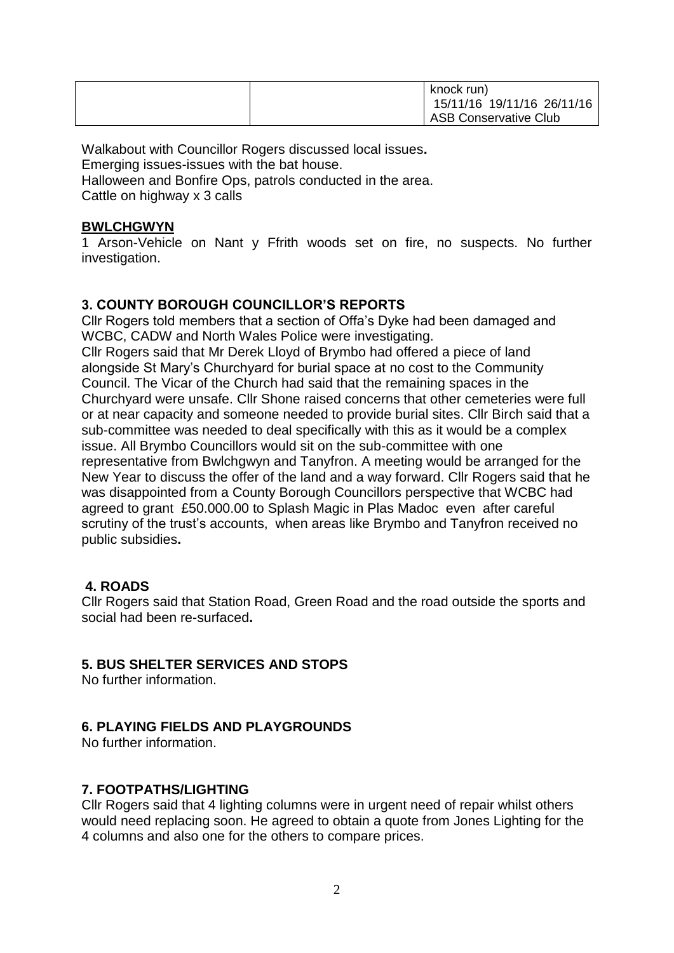| knock run)<br>15/11/16 19/11/16 26/11/16 |
|------------------------------------------|
| <b>ASB Conservative Club</b>             |

Walkabout with Councillor Rogers discussed local issues**.** Emerging issues-issues with the bat house. Halloween and Bonfire Ops, patrols conducted in the area. Cattle on highway x 3 calls

## **BWLCHGWYN**

1 Arson-Vehicle on Nant y Ffrith woods set on fire, no suspects. No further investigation.

## **3. COUNTY BOROUGH COUNCILLOR'S REPORTS**

Cllr Rogers told members that a section of Offa's Dyke had been damaged and WCBC, CADW and North Wales Police were investigating. Cllr Rogers said that Mr Derek Lloyd of Brymbo had offered a piece of land alongside St Mary's Churchyard for burial space at no cost to the Community Council. The Vicar of the Church had said that the remaining spaces in the Churchyard were unsafe. Cllr Shone raised concerns that other cemeteries were full or at near capacity and someone needed to provide burial sites. Cllr Birch said that a sub-committee was needed to deal specifically with this as it would be a complex issue. All Brymbo Councillors would sit on the sub-committee with one representative from Bwlchgwyn and Tanyfron. A meeting would be arranged for the New Year to discuss the offer of the land and a way forward. Cllr Rogers said that he was disappointed from a County Borough Councillors perspective that WCBC had agreed to grant £50.000.00 to Splash Magic in Plas Madoc even after careful scrutiny of the trust's accounts, when areas like Brymbo and Tanyfron received no public subsidies**.** 

## **4. ROADS**

Cllr Rogers said that Station Road, Green Road and the road outside the sports and social had been re-surfaced**.** 

## **5. BUS SHELTER SERVICES AND STOPS**

No further information.

#### **6. PLAYING FIELDS AND PLAYGROUNDS**

No further information.

## **7. FOOTPATHS/LIGHTING**

Cllr Rogers said that 4 lighting columns were in urgent need of repair whilst others would need replacing soon. He agreed to obtain a quote from Jones Lighting for the 4 columns and also one for the others to compare prices.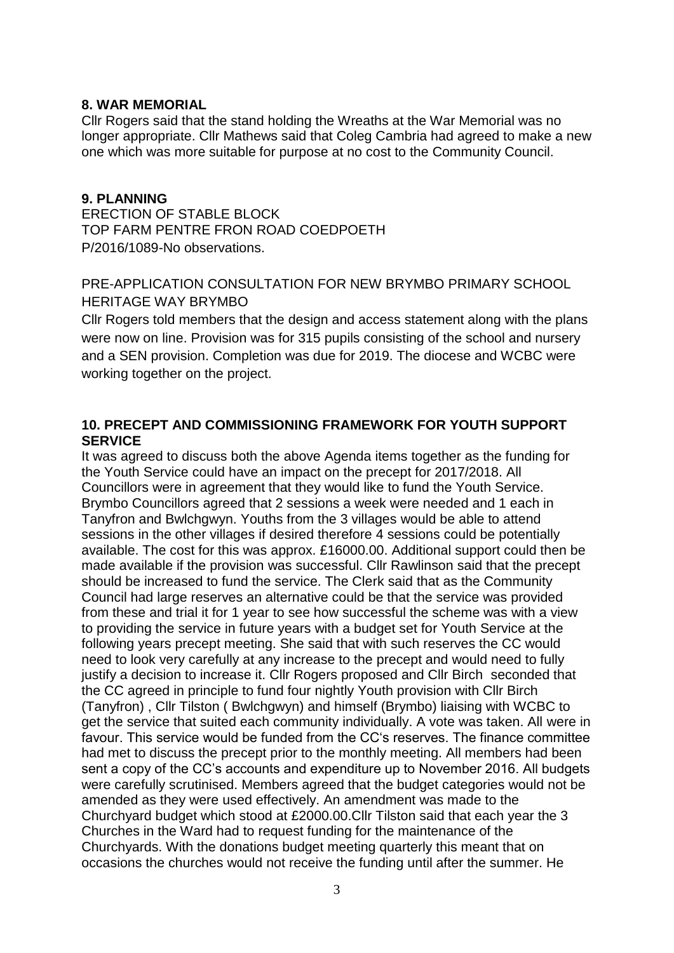#### **8. WAR MEMORIAL**

Cllr Rogers said that the stand holding the Wreaths at the War Memorial was no longer appropriate. Cllr Mathews said that Coleg Cambria had agreed to make a new one which was more suitable for purpose at no cost to the Community Council.

#### **9. PLANNING**

ERECTION OF STABLE BLOCK TOP FARM PENTRE FRON ROAD COEDPOETH P/2016/1089-No observations.

## PRE-APPLICATION CONSULTATION FOR NEW BRYMBO PRIMARY SCHOOL HERITAGE WAY BRYMBO

Cllr Rogers told members that the design and access statement along with the plans were now on line. Provision was for 315 pupils consisting of the school and nursery and a SEN provision. Completion was due for 2019. The diocese and WCBC were working together on the project.

## **10. PRECEPT AND COMMISSIONING FRAMEWORK FOR YOUTH SUPPORT SERVICE**

It was agreed to discuss both the above Agenda items together as the funding for the Youth Service could have an impact on the precept for 2017/2018. All Councillors were in agreement that they would like to fund the Youth Service. Brymbo Councillors agreed that 2 sessions a week were needed and 1 each in Tanyfron and Bwlchgwyn. Youths from the 3 villages would be able to attend sessions in the other villages if desired therefore 4 sessions could be potentially available. The cost for this was approx. £16000.00. Additional support could then be made available if the provision was successful. Cllr Rawlinson said that the precept should be increased to fund the service. The Clerk said that as the Community Council had large reserves an alternative could be that the service was provided from these and trial it for 1 year to see how successful the scheme was with a view to providing the service in future years with a budget set for Youth Service at the following years precept meeting. She said that with such reserves the CC would need to look very carefully at any increase to the precept and would need to fully justify a decision to increase it. Cllr Rogers proposed and Cllr Birch seconded that the CC agreed in principle to fund four nightly Youth provision with Cllr Birch (Tanyfron) , Cllr Tilston ( Bwlchgwyn) and himself (Brymbo) liaising with WCBC to get the service that suited each community individually. A vote was taken. All were in favour. This service would be funded from the CC's reserves. The finance committee had met to discuss the precept prior to the monthly meeting. All members had been sent a copy of the CC's accounts and expenditure up to November 2016. All budgets were carefully scrutinised. Members agreed that the budget categories would not be amended as they were used effectively. An amendment was made to the Churchyard budget which stood at £2000.00.Cllr Tilston said that each year the 3 Churches in the Ward had to request funding for the maintenance of the Churchyards. With the donations budget meeting quarterly this meant that on occasions the churches would not receive the funding until after the summer. He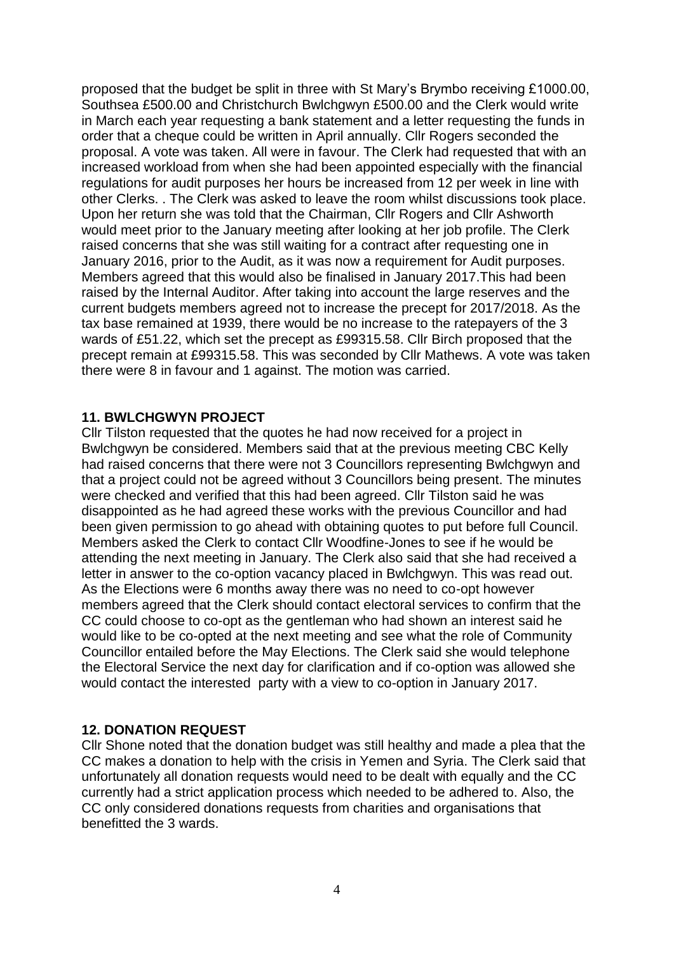proposed that the budget be split in three with St Mary's Brymbo receiving £1000.00, Southsea £500.00 and Christchurch Bwlchgwyn £500.00 and the Clerk would write in March each year requesting a bank statement and a letter requesting the funds in order that a cheque could be written in April annually. Cllr Rogers seconded the proposal. A vote was taken. All were in favour. The Clerk had requested that with an increased workload from when she had been appointed especially with the financial regulations for audit purposes her hours be increased from 12 per week in line with other Clerks. . The Clerk was asked to leave the room whilst discussions took place. Upon her return she was told that the Chairman, Cllr Rogers and Cllr Ashworth would meet prior to the January meeting after looking at her job profile. The Clerk raised concerns that she was still waiting for a contract after requesting one in January 2016, prior to the Audit, as it was now a requirement for Audit purposes. Members agreed that this would also be finalised in January 2017.This had been raised by the Internal Auditor. After taking into account the large reserves and the current budgets members agreed not to increase the precept for 2017/2018. As the tax base remained at 1939, there would be no increase to the ratepayers of the 3 wards of £51.22, which set the precept as £99315.58. Cllr Birch proposed that the precept remain at £99315.58. This was seconded by Cllr Mathews. A vote was taken there were 8 in favour and 1 against. The motion was carried.

#### **11. BWLCHGWYN PROJECT**

Cllr Tilston requested that the quotes he had now received for a project in Bwlchgwyn be considered. Members said that at the previous meeting CBC Kelly had raised concerns that there were not 3 Councillors representing Bwlchgwyn and that a project could not be agreed without 3 Councillors being present. The minutes were checked and verified that this had been agreed. Cllr Tilston said he was disappointed as he had agreed these works with the previous Councillor and had been given permission to go ahead with obtaining quotes to put before full Council. Members asked the Clerk to contact Cllr Woodfine-Jones to see if he would be attending the next meeting in January. The Clerk also said that she had received a letter in answer to the co-option vacancy placed in Bwlchgwyn. This was read out. As the Elections were 6 months away there was no need to co-opt however members agreed that the Clerk should contact electoral services to confirm that the CC could choose to co-opt as the gentleman who had shown an interest said he would like to be co-opted at the next meeting and see what the role of Community Councillor entailed before the May Elections. The Clerk said she would telephone the Electoral Service the next day for clarification and if co-option was allowed she would contact the interested party with a view to co-option in January 2017.

#### **12. DONATION REQUEST**

Cllr Shone noted that the donation budget was still healthy and made a plea that the CC makes a donation to help with the crisis in Yemen and Syria. The Clerk said that unfortunately all donation requests would need to be dealt with equally and the CC currently had a strict application process which needed to be adhered to. Also, the CC only considered donations requests from charities and organisations that benefitted the 3 wards.